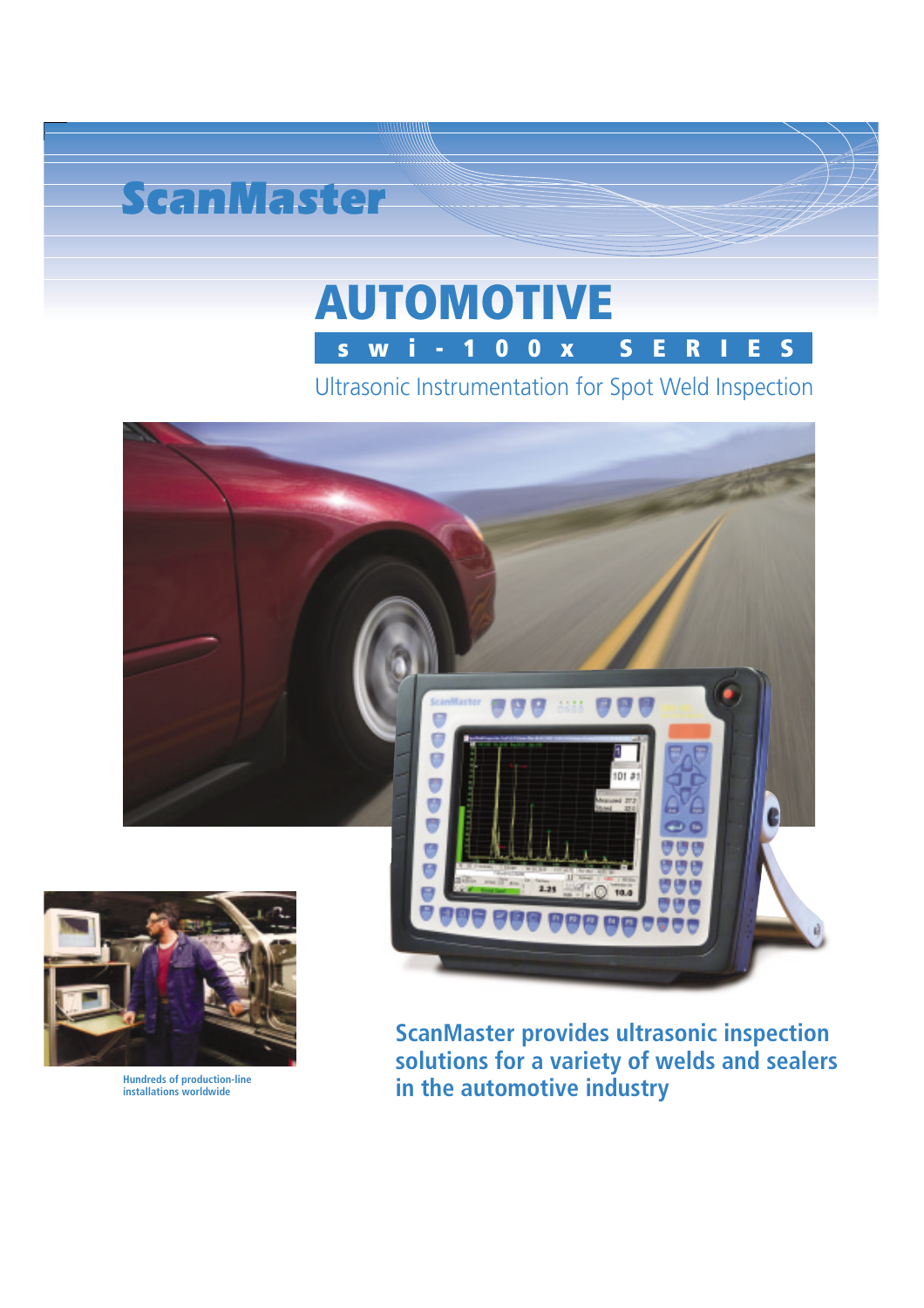

# **AUTOMOTIVE swi-100x SERIES**

Ultrasonic Instrumentation for Spot Weld Inspection





**installations worldwide**

**ScanMaster provides ultrasonic inspection solutions for a variety of welds and sealers** Hundreds of production-line **installations** worldwide **inclusive industry**